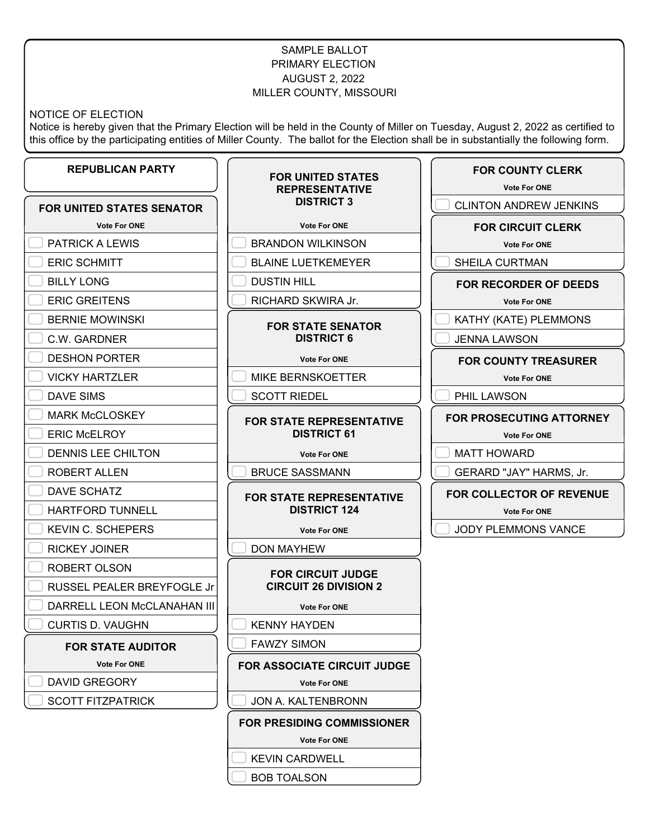# SAMPLE BALLOT PRIMARY ELECTION AUGUST 2, 2022 MILLER COUNTY, MISSOURI

#### NOTICE OF ELECTION

Notice is hereby given that the Primary Election will be held in the County of Miller on Tuesday, August 2, 2022 as certified to this office by the participating entities of Miller County. The ballot for the Election shall be in substantially the following form.

#### **REPUBLICAN PARTY FOR UNITED STATES SENATOR Vote For ONE** PATRICK A LEWIS ERIC SCHMITT BILLY LONG ERIC GREITENS BERNIE MOWINSKI C.W. GARDNER DESHON PORTER VICKY HARTZLER DAVE SIMS MARK McCLOSKEY ERIC McELROY DENNIS LEE CHILTON ROBERT ALLEN DAVE SCHATZ HARTFORD TUNNELL KEVIN C. SCHEPERS RICKEY JOINER ROBERT OLSON RUSSEL PEALER BREYFOGLE Jr DARRELL LEON McCLANAHAN III CURTIS D. VAUGHN **FOR STATE AUDITOR Vote For ONE** DAVID GREGORY SCOTT FITZPATRICK **FOR UNITED STATES REPRESENTATIVE DISTRICT 3 Vote For ONE** BRANDON WILKINSON BLAINE LUETKEMEYER DUSTIN HILL RICHARD SKWIRA Jr. **FOR STATE SENATOR DISTRICT 6 Vote For ONE** MIKE BERNSKOETTER SCOTT RIEDEL **FOR STATE REPRESENTATIVE DISTRICT 61 Vote For ONE** BRUCE SASSMANN **FOR STATE REPRESENTATIVE DISTRICT 124 Vote For ONE** DON MAYHEW **FOR CIRCUIT JUDGE CIRCUIT 26 DIVISION 2 Vote For ONE** KENNY HAYDEN FAWZY SIMON **FOR ASSOCIATE CIRCUIT JUDGE Vote For ONE** JON A. KALTENBRONN **FOR PRESIDING COMMISSIONER Vote For ONE** KEVIN CARDWELL **FOR COUNTY CLERK Vote For ONE** CLINTON ANDREW JENKINS **FOR CIRCUIT CLERK Vote For ONE** SHEILA CURTMAN **FOR RECORDER OF DEEDS Vote For ONE** KATHY (KATE) PLEMMONS JENNA LAWSON **FOR COUNTY TREASURER Vote For ONE** PHIL LAWSON **FOR PROSECUTING ATTORNEY Vote For ONE** MATT HOWARD GERARD "JAY" HARMS, Jr. **FOR COLLECTOR OF REVENUE Vote For ONE** JODY PLEMMONS VANCE

BOB TOALSON